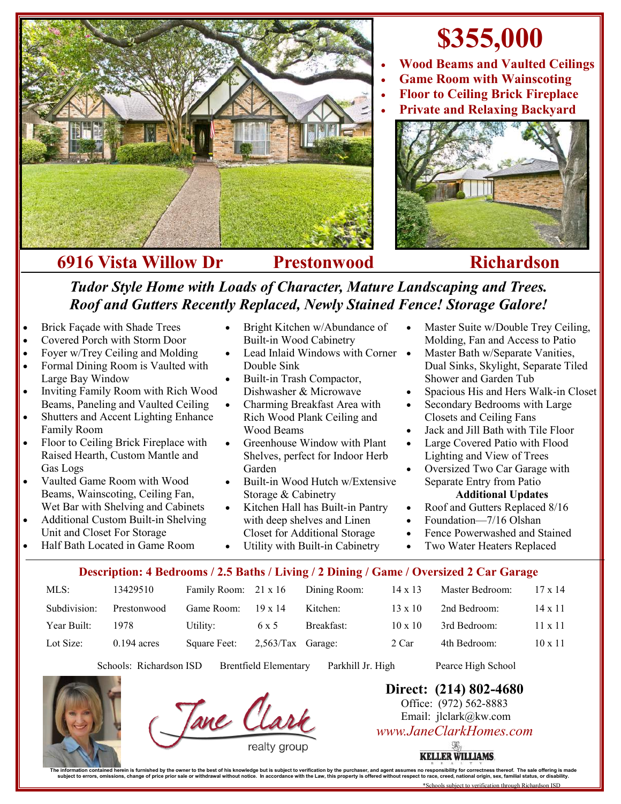

## **\$355,000**

- **Wood Beams and Vaulted Ceilings**
- **Game Room with Wainscoting**
- **Floor to Ceiling Brick Fireplace**
- **Private and Relaxing Backyard**



*Tudor Style Home with Loads of Character, Mature Landscaping and Trees. Roof and Gutters Recently Replaced, Newly Stained Fence! Storage Galore!*

- Brick Façade with Shade Trees
- Covered Porch with Storm Door
- Foyer w/Trey Ceiling and Molding
- Formal Dining Room is Vaulted with Large Bay Window
- Inviting Family Room with Rich Wood Beams, Paneling and Vaulted Ceiling
- Shutters and Accent Lighting Enhance Family Room
- Floor to Ceiling Brick Fireplace with Raised Hearth, Custom Mantle and Gas Logs
- Vaulted Game Room with Wood Beams, Wainscoting, Ceiling Fan, Wet Bar with Shelving and Cabinets
- Additional Custom Built-in Shelving Unit and Closet For Storage
- Half Bath Located in Game Room
- Bright Kitchen w/Abundance of Built-in Wood Cabinetry
- Lead Inlaid Windows with Corner Double Sink
- Built-in Trash Compactor, Dishwasher & Microwave
- Charming Breakfast Area with Rich Wood Plank Ceiling and Wood Beams
- Greenhouse Window with Plant Shelves, perfect for Indoor Herb Garden
- Built-in Wood Hutch w/Extensive Storage & Cabinetry
- Kitchen Hall has Built-in Pantry with deep shelves and Linen Closet for Additional Storage

Utility with Built-in Cabinetry

- Master Suite w/Double Trey Ceiling, Molding, Fan and Access to Patio
- Master Bath w/Separate Vanities, Dual Sinks, Skylight, Separate Tiled Shower and Garden Tub
- Spacious His and Hers Walk-in Closet
- Secondary Bedrooms with Large Closets and Ceiling Fans
- Jack and Jill Bath with Tile Floor
- Large Covered Patio with Flood Lighting and View of Trees
- Oversized Two Car Garage with Separate Entry from Patio

## **Additional Updates**

- Roof and Gutters Replaced 8/16
- Foundation—7/16 Olshan
- Fence Powerwashed and Stained
- Two Water Heaters Replaced

## **Description: 4 Bedrooms / 2.5 Baths / Living / 2 Dining / Game / Oversized 2 Car Garage**

| $MLS$ :      | 13429510      | Family Room: 21 x 16 |                     | Dining Room: | $14 \times 13$      | Master Bedroom: | $17 \times 14$ |
|--------------|---------------|----------------------|---------------------|--------------|---------------------|-----------------|----------------|
| Subdivision: | Prestonwood   | Game Room:           | $19 \times 14$      | Kitchen:     | $13 \times 10$      | 2nd Bedroom:    | $14 \times 11$ |
| Year Built:  | 1978          | Utility:             | 6 x 5               | Breakfast:   | $10 \times 10^{-7}$ | 3rd Bedroom:    | $11 \times 11$ |
| Lot Size:    | $0.194$ acres | Square Feet:         | $2.563$ Tax Garage: |              | 2 Car               | 4th Bedroom:    | $10 \times 11$ |

Schools: Richardson ISD Brentfield Elementary Parkhill Jr. High Pearce High School



Tane Clar

**Direct: (214) 802-4680** Office: (972) 562-8883 Email: jlclark@kw.com *www.JaneClarkHomes.com*

**KELLER WILLIAMS.** 

The information contained herein is furnished by the owner to the best of his knowledge but is subject to verification by the purchaser, and agent assumes no responsibility for correctness thereof. The sale offering is mad subject to errors, omissions, change of price prior sale or withdrawal without notice. In accordance with the Law, this property is offered without respect to race, creed,